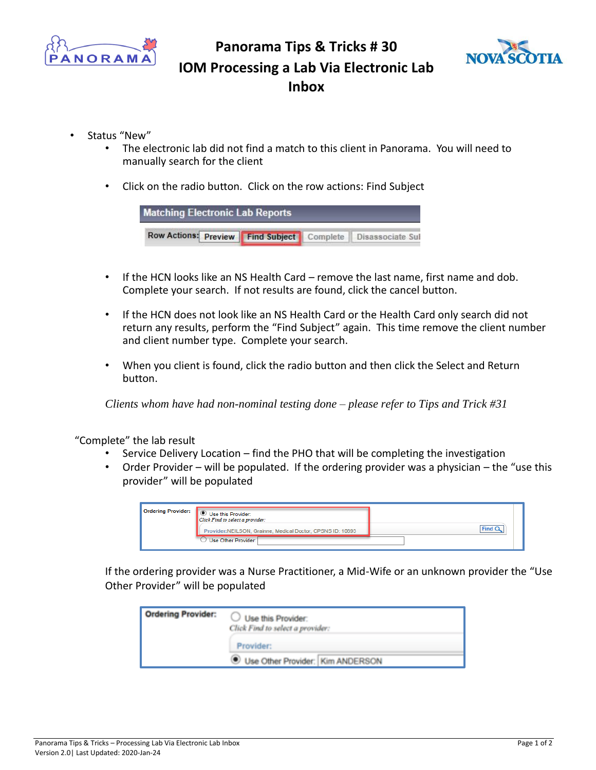

## **Panorama Tips & Tricks # 30 IOM Processing a Lab Via Electronic Lab Inbox**



- Status "New"
	- The electronic lab did not find a match to this client in Panorama. You will need to manually search for the client
	- Click on the radio button. Click on the row actions: Find Subject

| <b>Matching Electronic Lab Reports</b>                        |  |  |
|---------------------------------------------------------------|--|--|
| Row Actions: Preview Find Subject Complete   Disassociate Sul |  |  |

- If the HCN looks like an NS Health Card remove the last name, first name and dob. Complete your search. If not results are found, click the cancel button.
- If the HCN does not look like an NS Health Card or the Health Card only search did not return any results, perform the "Find Subject" again. This time remove the client number and client number type. Complete your search.
- When you client is found, click the radio button and then click the Select and Return button.

*Clients whom have had non-nominal testing done – please refer to Tips and Trick #31* 

"Complete" the lab result

- Service Delivery Location find the PHO that will be completing the investigation
- Order Provider will be populated. If the ordering provider was a physician the "use this provider" will be populated

| Ordering Provider: | Use this Provider:<br>Click Find to select a provider:     |      |
|--------------------|------------------------------------------------------------|------|
|                    | Provider:NEILSON, Grainne, Medical Doctor, CPSNS ID: 10893 | Find |
|                    | Use Other Provider:                                        |      |

If the ordering provider was a Nurse Practitioner, a Mid-Wife or an unknown provider the "Use Other Provider" will be populated

| <b>Ordering Provider:</b> | Use this Provider:<br>Click Find to select a provider: |  |
|---------------------------|--------------------------------------------------------|--|
|                           | Provider:<br>Use Other Provider: Kim ANDERSON          |  |